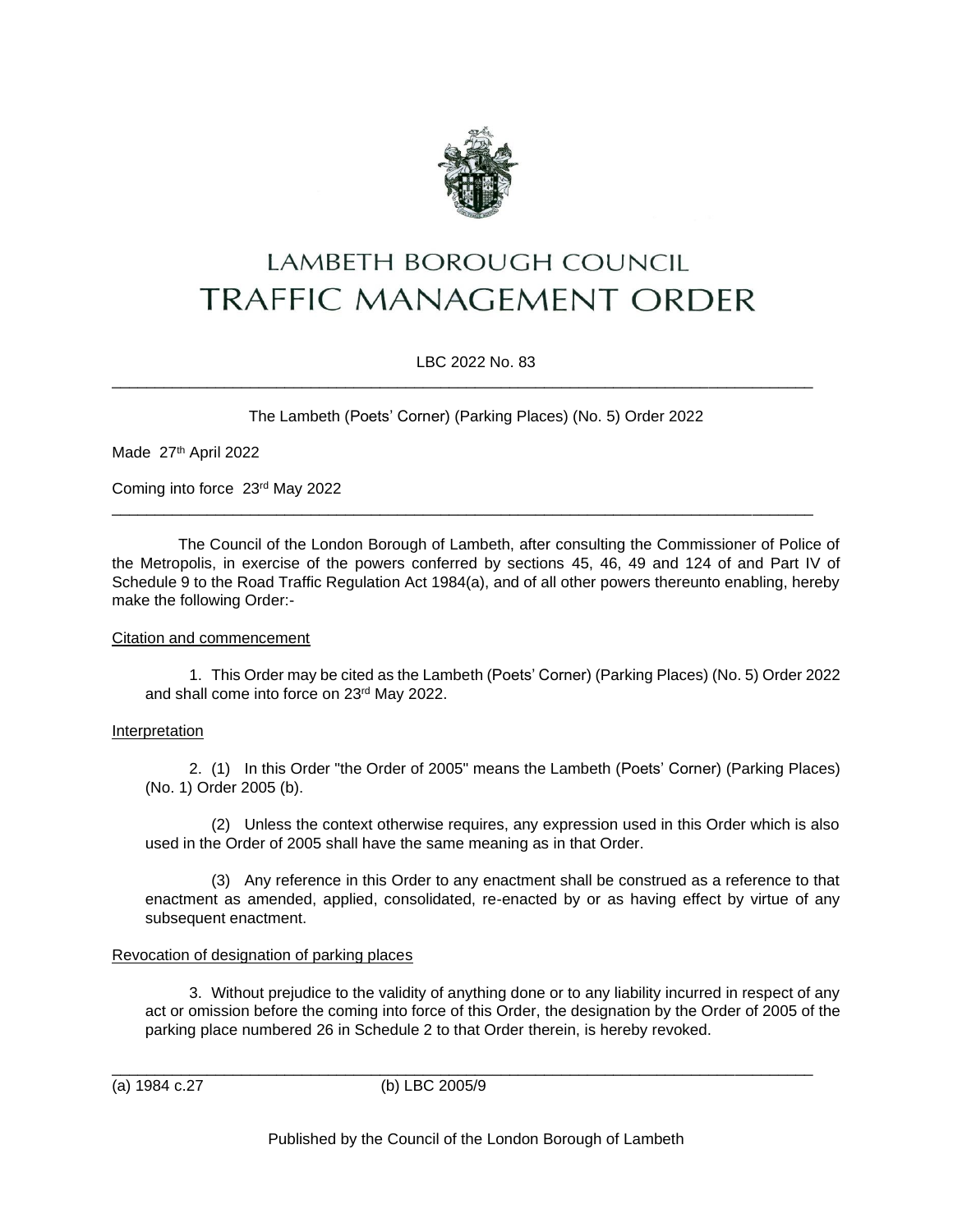

# LAMBETH BOROUGH COUNCIL **TRAFFIC MANAGEMENT ORDER**

LBC 2022 No. 83

\_\_\_\_\_\_\_\_\_\_\_\_\_\_\_\_\_\_\_\_\_\_\_\_\_\_\_\_\_\_\_\_\_\_\_\_\_\_\_\_\_\_\_\_\_\_\_\_\_\_\_\_\_\_\_\_\_\_\_\_\_\_\_\_\_\_\_\_\_\_\_\_\_\_\_\_\_\_\_\_\_

\_\_\_\_\_\_\_\_\_\_\_\_\_\_\_\_\_\_\_\_\_\_\_\_\_\_\_\_\_\_\_\_\_\_\_\_\_\_\_\_\_\_\_\_\_\_\_\_\_\_\_\_\_\_\_\_\_\_\_\_\_\_\_\_\_\_\_\_\_\_\_\_\_\_\_\_\_\_\_\_\_

The Lambeth (Poets' Corner) (Parking Places) (No. 5) Order 2022

Made 27th April 2022

Coming into force 23rd May 2022

The Council of the London Borough of Lambeth, after consulting the Commissioner of Police of the Metropolis, in exercise of the powers conferred by sections 45, 46, 49 and 124 of and Part IV of Schedule 9 to the Road Traffic Regulation Act 1984(a), and of all other powers thereunto enabling, hereby make the following Order:-

### Citation and commencement

1. This Order may be cited as the Lambeth (Poets' Corner) (Parking Places) (No. 5) Order 2022 and shall come into force on 23rd May 2022.

### Interpretation

2. (1) In this Order "the Order of 2005" means the Lambeth (Poets' Corner) (Parking Places) (No. 1) Order 2005 (b).

(2) Unless the context otherwise requires, any expression used in this Order which is also used in the Order of 2005 shall have the same meaning as in that Order.

(3) Any reference in this Order to any enactment shall be construed as a reference to that enactment as amended, applied, consolidated, re-enacted by or as having effect by virtue of any subsequent enactment.

## Revocation of designation of parking places

3. Without prejudice to the validity of anything done or to any liability incurred in respect of any act or omission before the coming into force of this Order, the designation by the Order of 2005 of the parking place numbered 26 in Schedule 2 to that Order therein, is hereby revoked.

(a) 1984 c.27 (b) LBC 2005/9

\_\_\_\_\_\_\_\_\_\_\_\_\_\_\_\_\_\_\_\_\_\_\_\_\_\_\_\_\_\_\_\_\_\_\_\_\_\_\_\_\_\_\_\_\_\_\_\_\_\_\_\_\_\_\_\_\_\_\_\_\_\_\_\_\_\_\_\_\_\_\_\_\_\_\_\_\_\_\_\_\_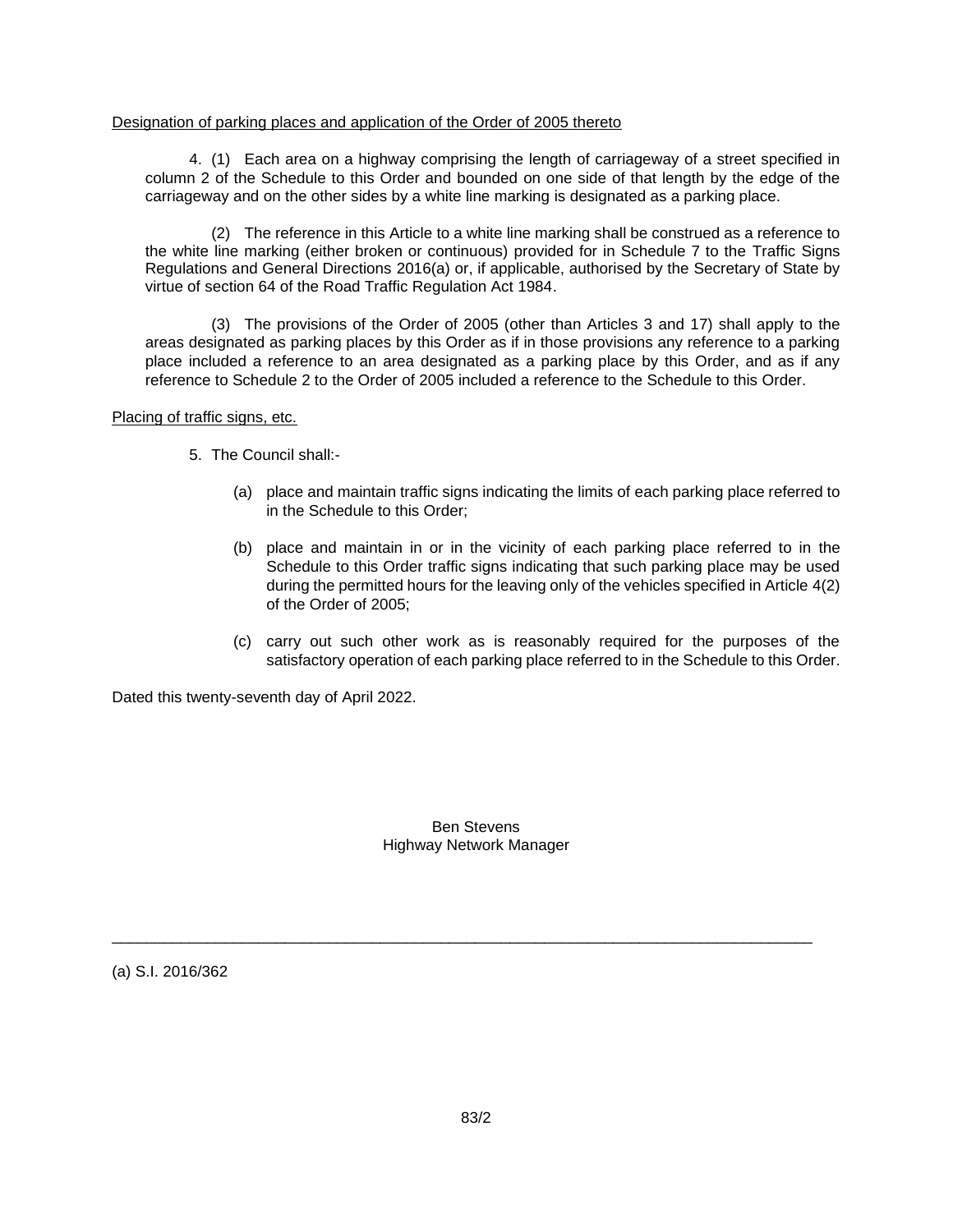#### Designation of parking places and application of the Order of 2005 thereto

4. (1) Each area on a highway comprising the length of carriageway of a street specified in column 2 of the Schedule to this Order and bounded on one side of that length by the edge of the carriageway and on the other sides by a white line marking is designated as a parking place.

(2) The reference in this Article to a white line marking shall be construed as a reference to the white line marking (either broken or continuous) provided for in Schedule 7 to the Traffic Signs Regulations and General Directions 2016(a) or, if applicable, authorised by the Secretary of State by virtue of section 64 of the Road Traffic Regulation Act 1984.

(3) The provisions of the Order of 2005 (other than Articles 3 and 17) shall apply to the areas designated as parking places by this Order as if in those provisions any reference to a parking place included a reference to an area designated as a parking place by this Order, and as if any reference to Schedule 2 to the Order of 2005 included a reference to the Schedule to this Order.

Placing of traffic signs, etc.

- 5. The Council shall:-
	- (a) place and maintain traffic signs indicating the limits of each parking place referred to in the Schedule to this Order;
	- (b) place and maintain in or in the vicinity of each parking place referred to in the Schedule to this Order traffic signs indicating that such parking place may be used during the permitted hours for the leaving only of the vehicles specified in Article 4(2) of the Order of 2005;
	- (c) carry out such other work as is reasonably required for the purposes of the satisfactory operation of each parking place referred to in the Schedule to this Order.

Dated this twenty-seventh day of April 2022.

Ben Stevens Highway Network Manager

\_\_\_\_\_\_\_\_\_\_\_\_\_\_\_\_\_\_\_\_\_\_\_\_\_\_\_\_\_\_\_\_\_\_\_\_\_\_\_\_\_\_\_\_\_\_\_\_\_\_\_\_\_\_\_\_\_\_\_\_\_\_\_\_\_\_\_\_\_\_\_\_\_\_\_\_\_\_\_\_\_

(a) S.I. 2016/362